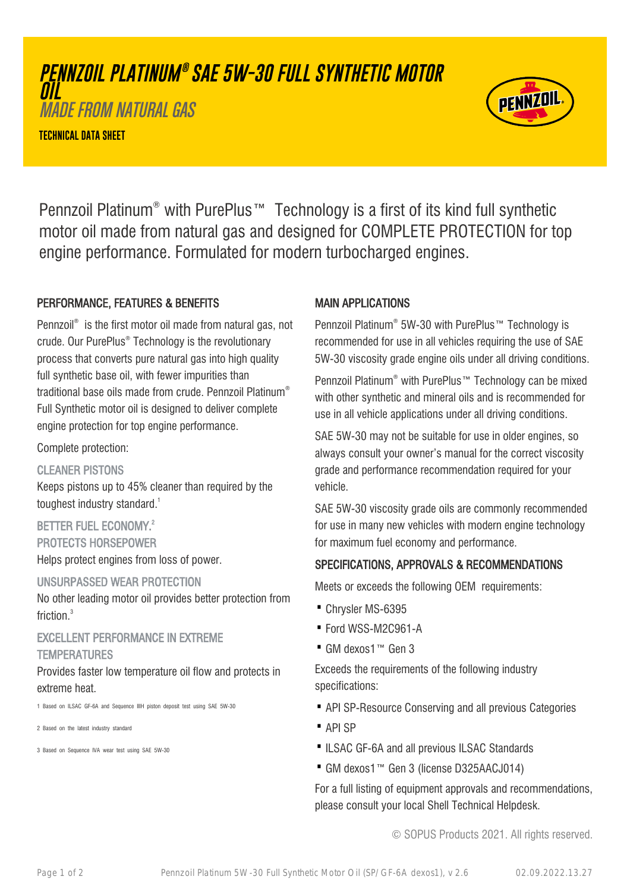# **PENNZOIL PLATINUM ® SAE 5W-30 FULL SYNTHETIC MOTOR OIL**

MADE FROM NATURAL GAS

**TECHNICAL DATA SHEET**



Pennzoil Platinum® with PurePlus™ Technology is a first of its kind full synthetic motor oil made from natural gas and designed for COMPLETE PROTECTION for top engine performance. Formulated for modern turbocharged engines.

## PERFORMANCE, FEATURES & BENEFITS

Pennzoil® is the first motor oil made from natural gas, not crude. Our PurePlus® Technology is the revolutionary process that converts pure natural gas into high quality full synthetic base oil, with fewer impurities than traditional base oils made from crude. Pennzoil Platinum® Full Synthetic motor oil is designed to deliver complete engine protection for top engine performance.

Complete protection:

## CLEANER PISTONS

Keeps pistons up to 45% cleaner than required by the toughest industry standard.<sup>1</sup>

BETTER FUEL ECONOMY.<sup>2</sup> PROTECTS HORSEPOWER Helps protect engines from loss of power.

## UNSURPASSED WEAR PROTECTION

No other leading motor oil provides better protection from friction.<sup>3</sup>

## EXCELLENT PERFORMANCE IN EXTREME **TEMPERATURES**

Provides faster low temperature oil flow and protects in extreme heat.

1 Based on ILSAC GF-6A and Sequence IIIH piston deposit test using SAE 5W-30

2 Based on the latest industry standard

3 Based on Sequence IVA wear test using SAE 5W-30

## MAIN APPLICATIONS

Pennzoil Platinum® 5W-30 with PurePlus™ Technology is recommended for use in all vehicles requiring the use of SAE 5W-30 viscosity grade engine oils under all driving conditions.

Pennzoil Platinum® with PurePlus™ Technology can be mixed with other synthetic and mineral oils and is recommended for use in all vehicle applications under all driving conditions.

SAE 5W-30 may not be suitable for use in older engines, so always consult your owner's manual for the correct viscosity grade and performance recommendation required for your vehicle.

SAE 5W-30 viscosity grade oils are commonly recommended for use in many new vehicles with modern engine technology for maximum fuel economy and performance.

## SPECIFICATIONS, APPROVALS & RECOMMENDATIONS

Meets or exceeds the following OEM requirements:

- · Chrysler MS-6395
- · Ford WSS-M2C961-A
- · GM dexos1™ Gen 3

Exceeds the requirements of the following industry specifications:

- · API SP-Resource Conserving and all previous Categories
- · API SP
- ·ILSAC GF-6A and all previous ILSAC Standards
- · GM dexos1™ Gen 3 (license D325AACJ014)

For a full listing of equipment approvals and recommendations, please consult your local Shell Technical Helpdesk.

© SOPUS Products 2021. All rights reserved.